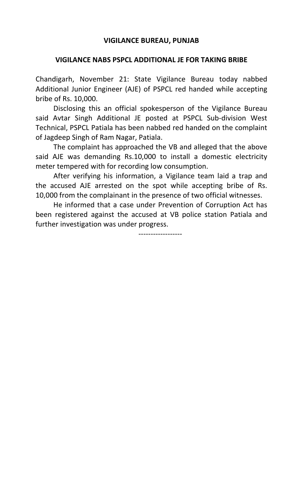## **VIGILANCE BUREAU, PUNJAB**

## **VIGILANCE NABS PSPCL ADDITIONAL JE FOR TAKING BRIBE**

Chandigarh, November 21: State Vigilance Bureau today nabbed Additional Junior Engineer (AJE) of PSPCL red handed while accepting bribe of Rs. 10,000.

Disclosing this an official spokesperson of the Vigilance Bureau said Avtar Singh Additional JE posted at PSPCL Sub-division West Technical, PSPCL Patiala has been nabbed red handed on the complaint of Jagdeep Singh of Ram Nagar, Patiala.

The complaint has approached the VB and alleged that the above said AJE was demanding Rs.10,000 to install a domestic electricity meter tempered with for recording low consumption.

After verifying his information, a Vigilance team laid a trap and the accused AJE arrested on the spot while accepting bribe of Rs. 10,000 from the complainant in the presence of two official witnesses.

He informed that a case under Prevention of Corruption Act has been registered against the accused at VB police station Patiala and further investigation was under progress.

------------------